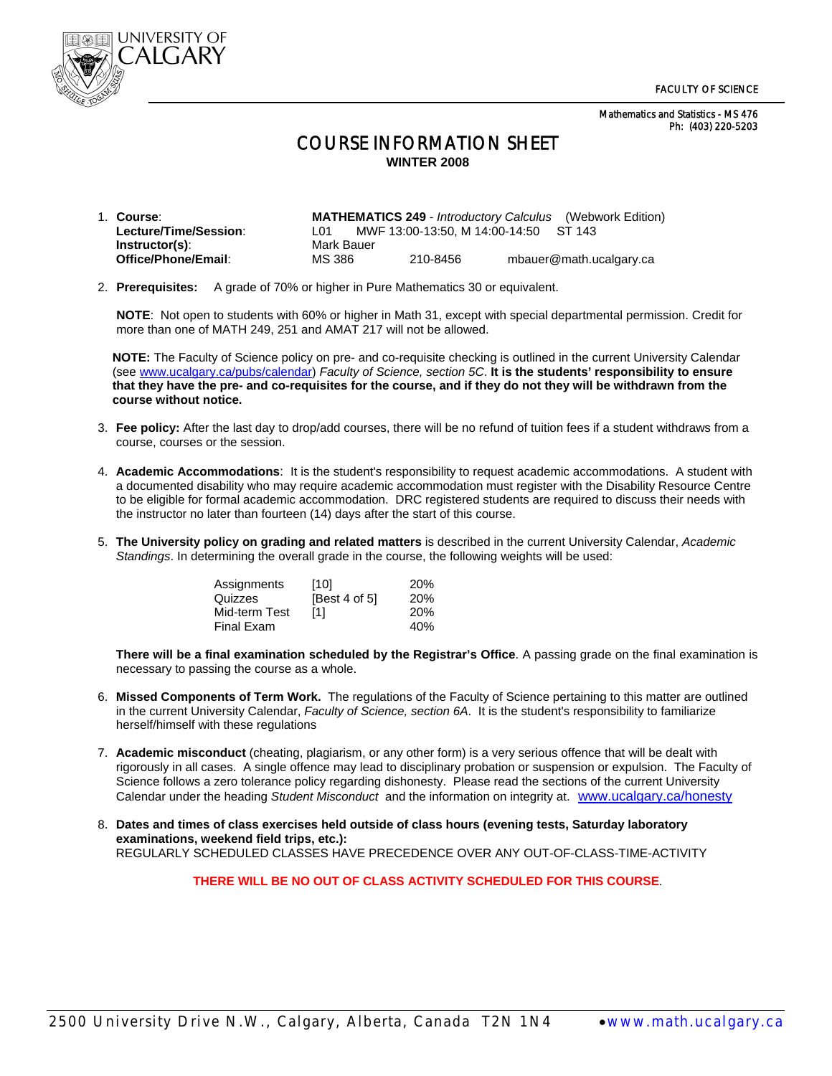Mathematics and Statistics - MS 476 Ph: (403) 220-5203



## COURSE INFORMATION SHEET **WINTER 2008**

| 1. Course:            |                 |                                       | <b>MATHEMATICS 249</b> - <i>Introductory Calculus</i> (Webwork Edition) |
|-----------------------|-----------------|---------------------------------------|-------------------------------------------------------------------------|
| Lecture/Time/Session: | L <sub>01</sub> | MWF 13:00-13:50, M 14:00-14:50 ST 143 |                                                                         |
| Instructor(s):        | Mark Bauer      |                                       |                                                                         |
| Office/Phone/Email:   | MS 386          | 210-8456                              | mbauer@math.ucalgary.ca                                                 |

2. **Prerequisites:** A grade of 70% or higher in Pure Mathematics 30 or equivalent.

 **NOTE**: Not open to students with 60% or higher in Math 31, except with special departmental permission. Credit for more than one of MATH 249, 251 and AMAT 217 will not be allowed.

**NOTE:** The Faculty of Science policy on pre- and co-requisite checking is outlined in the current University Calendar (see www.ucalgary.ca/pubs/calendar) *Faculty of Science, section 5C*. **It is the students' responsibility to ensure that they have the pre- and co-requisites for the course, and if they do not they will be withdrawn from the course without notice.** 

- 3. **Fee policy:** After the last day to drop/add courses, there will be no refund of tuition fees if a student withdraws from a course, courses or the session.
- 4. **Academic Accommodations**: It is the student's responsibility to request academic accommodations. A student with a documented disability who may require academic accommodation must register with the Disability Resource Centre to be eligible for formal academic accommodation. DRC registered students are required to discuss their needs with the instructor no later than fourteen (14) days after the start of this course.
- 5. **The University policy on grading and related matters** is described in the current University Calendar, *Academic Standings*. In determining the overall grade in the course, the following weights will be used:

| Assignments   | [10]          | 20% |
|---------------|---------------|-----|
| Quizzes       | [Best 4 of 5] | 20% |
| Mid-term Test | [1]           | 20% |
| Final Exam    |               | 40% |

**There will be a final examination scheduled by the Registrar's Office**. A passing grade on the final examination is necessary to passing the course as a whole.

- 6. **Missed Components of Term Work.** The regulations of the Faculty of Science pertaining to this matter are outlined in the current University Calendar, *Faculty of Science, section 6A*. It is the student's responsibility to familiarize herself/himself with these regulations
- 7. **Academic misconduct** (cheating, plagiarism, or any other form) is a very serious offence that will be dealt with rigorously in all cases. A single offence may lead to disciplinary probation or suspension or expulsion. The Faculty of Science follows a zero tolerance policy regarding dishonesty. Please read the sections of the current University Calendar under the heading *Student Misconduct* and the information on integrity at. www.ucalgary.ca/honesty
- 8. **Dates and times of class exercises held outside of class hours (evening tests, Saturday laboratory examinations, weekend field trips, etc.):** REGULARLY SCHEDULED CLASSES HAVE PRECEDENCE OVER ANY OUT-OF-CLASS-TIME-ACTIVITY

**THERE WILL BE NO OUT OF CLASS ACTIVITY SCHEDULED FOR THIS COURSE**.